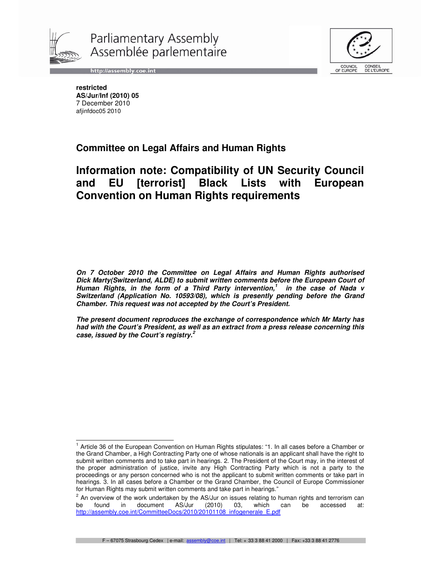

Parliamentary Assembly Assemblée parlementaire



http://assembly.coe.int

**restricted AS/Jur/Inf (2010) 05**  7 December 2010 afjinfdoc05 2010

# **Committee on Legal Affairs and Human Rights**

# **Information note: Compatibility of UN Security Council and EU [terrorist] Black Lists with European Convention on Human Rights requirements**

**On 7 October 2010 the Committee on Legal Affairs and Human Rights authorised Dick Marty(Switzerland, ALDE) to submit written comments before the European Court of Human Rights, in the form of a Third Party intervention,<sup>1</sup> in the case of Nada v Switzerland (Application No. 10593/08), which is presently pending before the Grand Chamber. This request was not accepted by the Court's President.** 

**The present document reproduces the exchange of correspondence which Mr Marty has had with the Court's President, as well as an extract from a press release concerning this case, issued by the Court's registry.<sup>2</sup>**

 $\overline{\phantom{a}}$ <sup>1</sup> Article 36 of the European Convention on Human Rights stipulates: "1. In all cases before a Chamber or the Grand Chamber, a High Contracting Party one of whose nationals is an applicant shall have the right to submit written comments and to take part in hearings. 2. The President of the Court may, in the interest of the proper administration of justice, invite any High Contracting Party which is not a party to the proceedings or any person concerned who is not the applicant to submit written comments or take part in hearings. 3. In all cases before a Chamber or the Grand Chamber, the Council of Europe Commissioner for Human Rights may submit written comments and take part in hearings."

 $^{2}$  An overview of the work undertaken by the AS/Jur on issues relating to human rights and terrorism can be found in document AS/Jur (2010) 03, which can be accessed at: http://assembly.coe.int/CommitteeDocs/2010/20101108\_infogenerale\_E.pdf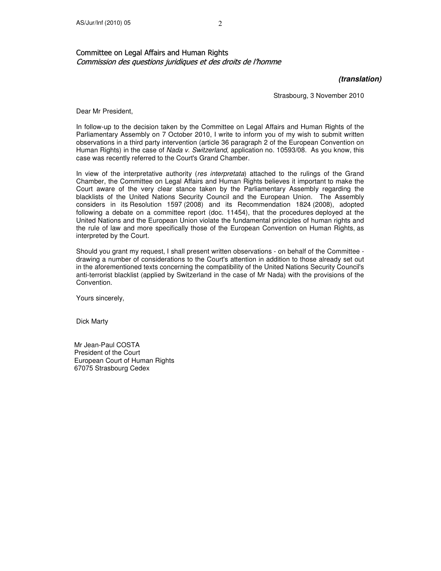### Committee on Legal Affairs and Human Rights Commission des questions juridiques et des droits de l'homme

**(translation)** 

Strasbourg, 3 November 2010

Dear Mr President,

In follow-up to the decision taken by the Committee on Legal Affairs and Human Rights of the Parliamentary Assembly on 7 October 2010, I write to inform you of my wish to submit written observations in a third party intervention (article 36 paragraph 2 of the European Convention on Human Rights) in the case of Nada v. Switzerland, application no. 10593/08. As you know, this case was recently referred to the Court's Grand Chamber.

In view of the interpretative authority (res interpretata) attached to the rulings of the Grand Chamber, the Committee on Legal Affairs and Human Rights believes it important to make the Court aware of the very clear stance taken by the Parliamentary Assembly regarding the blacklists of the United Nations Security Council and the European Union. The Assembly considers in its Resolution 1597 (2008) and its Recommendation 1824 (2008), adopted following a debate on a committee report (doc. 11454), that the procedures deployed at the United Nations and the European Union violate the fundamental principles of human rights and the rule of law and more specifically those of the European Convention on Human Rights, as interpreted by the Court.

Should you grant my request, I shall present written observations - on behalf of the Committee drawing a number of considerations to the Court's attention in addition to those already set out in the aforementioned texts concerning the compatibility of the United Nations Security Council's anti-terrorist blacklist (applied by Switzerland in the case of Mr Nada) with the provisions of the Convention.

Yours sincerely,

Dick Marty

Mr Jean-Paul COSTA President of the Court European Court of Human Rights 67075 Strasbourg Cedex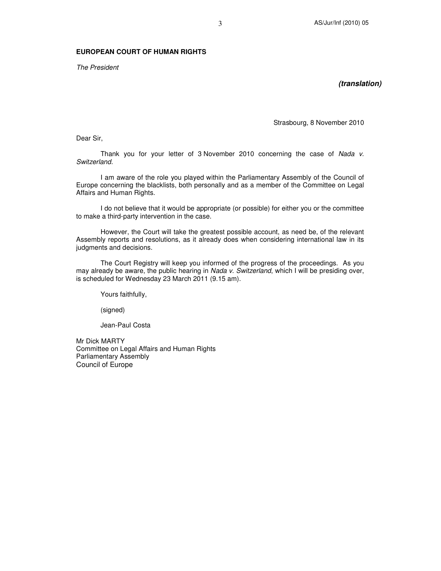#### **EUROPEAN COURT OF HUMAN RIGHTS**

The President

**(translation)** 

Strasbourg, 8 November 2010

Dear Sir,

Thank you for your letter of 3 November 2010 concerning the case of Nada v. Switzerland.

 I am aware of the role you played within the Parliamentary Assembly of the Council of Europe concerning the blacklists, both personally and as a member of the Committee on Legal Affairs and Human Rights.

 I do not believe that it would be appropriate (or possible) for either you or the committee to make a third-party intervention in the case.

 However, the Court will take the greatest possible account, as need be, of the relevant Assembly reports and resolutions, as it already does when considering international law in its judgments and decisions.

 The Court Registry will keep you informed of the progress of the proceedings. As you may already be aware, the public hearing in Nada v. Switzerland, which I will be presiding over, is scheduled for Wednesday 23 March 2011 (9.15 am).

Yours faithfully,

(signed)

Jean-Paul Costa

Mr Dick MARTY Committee on Legal Affairs and Human Rights Parliamentary Assembly Council of Europe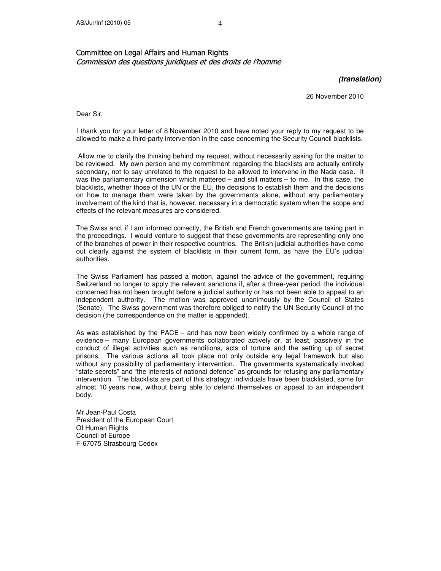### Committee on Legal Affairs and Human Rights Commission des questions juridiques et des droits de l'homme

**(translation)** 

26 November 2010

Dear Sir,

I thank you for your letter of 8 November 2010 and have noted your reply to my request to be allowed to make a third-party intervention in the case concerning the Security Council blacklists.

 Allow me to clarify the thinking behind my request, without necessarily asking for the matter to be reviewed. My own person and my commitment regarding the blacklists are actually entirely secondary, not to say unrelated to the request to be allowed to intervene in the Nada case. It was the parliamentary dimension which mattered – and still matters – to me. In this case, the blacklists, whether those of the UN or the EU, the decisions to establish them and the decisions on how to manage them were taken by the governments alone, without any parliamentary involvement of the kind that is, however, necessary in a democratic system when the scope and effects of the relevant measures are considered.

The Swiss and, if I am informed correctly, the British and French governments are taking part in the proceedings. I would venture to suggest that these governments are representing only one of the branches of power in their respective countries. The British judicial authorities have come out clearly against the system of blacklists in their current form, as have the EU's judicial authorities.

The Swiss Parliament has passed a motion, against the advice of the government, requiring Switzerland no longer to apply the relevant sanctions if, after a three-year period, the individual concerned has not been brought before a judicial authority or has not been able to appeal to an independent authority. The motion was approved unanimously by the Council of States (Senate). The Swiss government was therefore obliged to notify the UN Security Council of the decision (the correspondence on the matter is appended).

As was established by the PACE – and has now been widely confirmed by a whole range of evidence – many European governments collaborated actively or, at least, passively in the conduct of illegal activities such as renditions, acts of torture and the setting up of secret prisons. The various actions all took place not only outside any legal framework but also without any possibility of parliamentary intervention. The governments systematically invoked "state secrets" and "the interests of national defence" as grounds for refusing any parliamentary intervention. The blacklists are part of this strategy: individuals have been blacklisted, some for almost 10 years now, without being able to defend themselves or appeal to an independent body.

Mr Jean-Paul Costa President of the European Court Of Human Rights Council of Europe F-67075 Strasbourg Cedex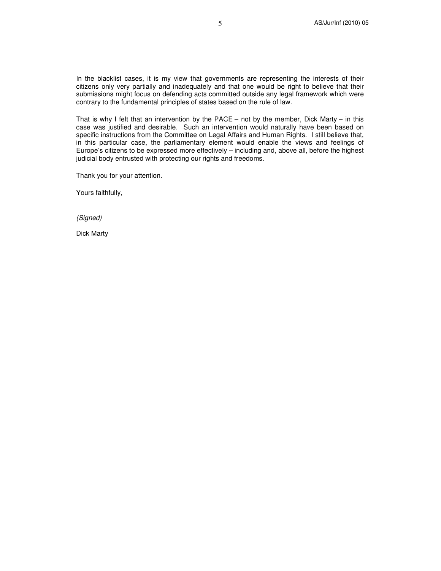In the blacklist cases, it is my view that governments are representing the interests of their citizens only very partially and inadequately and that one would be right to believe that their submissions might focus on defending acts committed outside any legal framework which were contrary to the fundamental principles of states based on the rule of law.

That is why I felt that an intervention by the  $PACE - not$  by the member, Dick Marty – in this case was justified and desirable. Such an intervention would naturally have been based on specific instructions from the Committee on Legal Affairs and Human Rights. I still believe that, in this particular case, the parliamentary element would enable the views and feelings of Europe's citizens to be expressed more effectively – including and, above all, before the highest judicial body entrusted with protecting our rights and freedoms.

Thank you for your attention.

Yours faithfully,

(Signed)

Dick Marty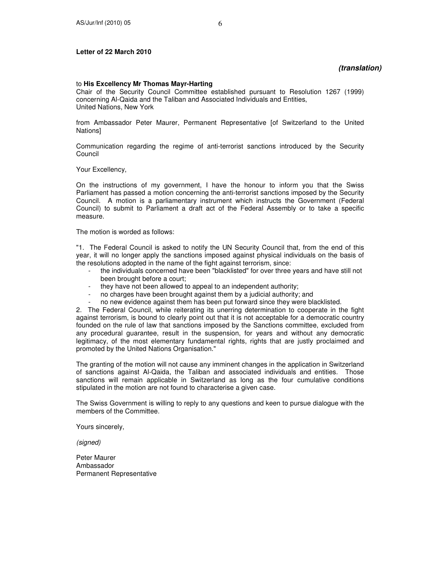#### **Letter of 22 March 2010**

#### **(translation)**

#### to **His Excellency Mr Thomas Mayr-Harting**

Chair of the Security Council Committee established pursuant to Resolution 1267 (1999) concerning Al-Qaida and the Taliban and Associated Individuals and Entities, United Nations, New York

from Ambassador Peter Maurer, Permanent Representative [of Switzerland to the United Nations]

Communication regarding the regime of anti-terrorist sanctions introduced by the Security Council

Your Excellency,

On the instructions of my government, I have the honour to inform you that the Swiss Parliament has passed a motion concerning the anti-terrorist sanctions imposed by the Security Council. A motion is a parliamentary instrument which instructs the Government (Federal Council) to submit to Parliament a draft act of the Federal Assembly or to take a specific measure.

The motion is worded as follows:

"1. The Federal Council is asked to notify the UN Security Council that, from the end of this year, it will no longer apply the sanctions imposed against physical individuals on the basis of the resolutions adopted in the name of the fight against terrorism, since:

- the individuals concerned have been "blacklisted" for over three years and have still not been brought before a court;
- they have not been allowed to appeal to an independent authority;
- no charges have been brought against them by a judicial authority; and
- no new evidence against them has been put forward since they were blacklisted.

2. The Federal Council, while reiterating its unerring determination to cooperate in the fight against terrorism, is bound to clearly point out that it is not acceptable for a democratic country founded on the rule of law that sanctions imposed by the Sanctions committee, excluded from any procedural guarantee, result in the suspension, for years and without any democratic legitimacy, of the most elementary fundamental rights, rights that are justly proclaimed and promoted by the United Nations Organisation."

The granting of the motion will not cause any imminent changes in the application in Switzerland of sanctions against Al-Qaida, the Taliban and associated individuals and entities. Those sanctions will remain applicable in Switzerland as long as the four cumulative conditions stipulated in the motion are not found to characterise a given case.

The Swiss Government is willing to reply to any questions and keen to pursue dialogue with the members of the Committee.

Yours sincerely,

(signed)

Peter Maurer Ambassador Permanent Representative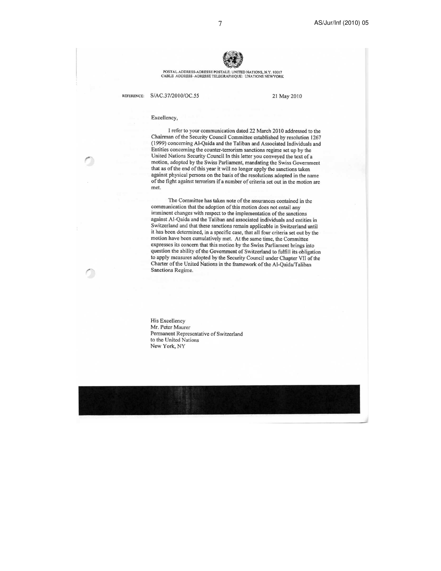

POSTAL ADDRESS-ADRESSE POSTALE: UNITED NATIONS, N.Y. 10017<br>CABLE ADDRESS -ADRESSE TELEGRAPHIQUE: UNATIONS NEWYORK

REFERENCE:

S/AC.37/2010/OC.55

21 May 2010

#### Excellency,

I refer to your communication dated 22 March 2010 addressed to the Chairman of the Security Council Committee established by resolution 1267 (1999) concerning Al-Qaida and the Taliban and Associated Individuals and Entities concerning the counter-terrorism sanctions regime set up by the United Nations Security Council In this letter you conveyed the text of a motion, adopted by the Swiss Parliament, mandating the Swiss Government that as of the end of this year it will no longer apply the sanctions taken against physical persons on the basis of the resolutions adopted in the name of the fight against terrorism if a number of criteria set out in the motion are met.

The Committee has taken note of the assurances contained in the communication that the adoption of this motion does not entail any imminent changes with respect to the implementation of the sanctions against Al-Qaida and the Taliban and associated individuals and entities in Switzerland and that these sanctions remain applicable in Switzerland until it has been determined, in a specific case, that all four criteria set out by the motion have been cumulatively met. At the same time, the Committee expresses its concern that this motion by the Swiss Parliament brings into question the ability of the Government of Switzerland to fulfill its obligation to apply measures adopted by the Security Council under Chapter VII of the Charter of the United Nations in the framework of the Al-Qaida/Taliban Sanctions Regime.

His Excellency Mr. Peter Maurer Permanent Representative of Switzerland to the United Nations New York, NY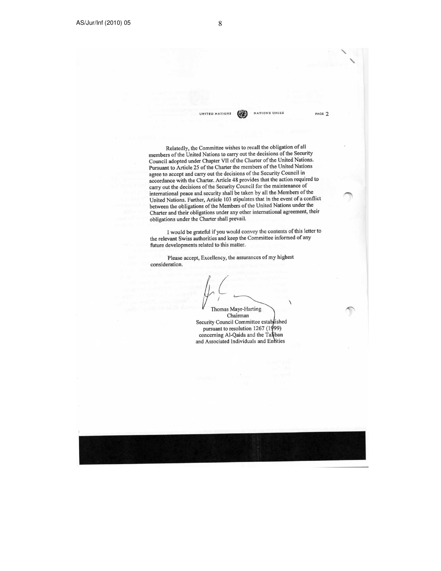NATIONS UNIES UNITED NATIONS

PAGE 7

Relatedly, the Committee wishes to recall the obligation of all members of the United Nations to carry out the decisions of the Security Council adopted under Chapter VII of the Charter of the United Nations. Pursuant to Article 25 of the Charter the members of the United Nations agree to accept and carry out the decisions of the Security Council in accordance with the Charter. Article 48 provides that the action required to carry out the decisions of the Security Council for the maintenance of international peace and security shall be taken by all the Members of the United Nations. Further, Article 103 stipulates that in the event of a conflict between the obligations of the Members of the United Nations under the Charter and their obligations under any other international agreement, their obligations under the Charter shall prevail.

I would be grateful if you would convey the contents of this letter to the relevant Swiss authorities and keep the Committee informed of any future developments related to this matter.

Please accept, Excellency, the assurances of my highest consideration.

Thomas Mayr-Harting

Chairman Security Council Committee established pursuant to resolution 1267 (1999) concerning Al-Qaida and the Taliban and Associated Individuals and Entities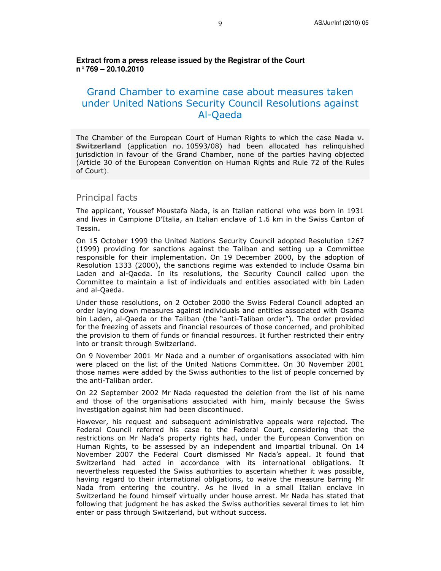**Extract from a press release issued by the Registrar of the Court n° 769 – 20.10.2010** 

# Grand Chamber to examine case about measures taken under United Nations Security Council Resolutions against Al-Qaeda

The Chamber of the European Court of Human Rights to which the case Nada v. Switzerland (application no. 10593/08) had been allocated has relinquished jurisdiction in favour of the Grand Chamber, none of the parties having objected (Article 30 of the European Convention on Human Rights and Rule 72 of the Rules of Court).

#### Principal facts

The applicant, Youssef Moustafa Nada, is an Italian national who was born in 1931 and lives in Campione D'Italia, an Italian enclave of 1.6 km in the Swiss Canton of Tessin.

On 15 October 1999 the United Nations Security Council adopted Resolution 1267 (1999) providing for sanctions against the Taliban and setting up a Committee responsible for their implementation. On 19 December 2000, by the adoption of Resolution 1333 (2000), the sanctions regime was extended to include Osama bin Laden and al-Qaeda. In its resolutions, the Security Council called upon the Committee to maintain a list of individuals and entities associated with bin Laden and al-Qaeda.

Under those resolutions, on 2 October 2000 the Swiss Federal Council adopted an order laying down measures against individuals and entities associated with Osama bin Laden, al-Qaeda or the Taliban (the "anti-Taliban order"). The order provided for the freezing of assets and financial resources of those concerned, and prohibited the provision to them of funds or financial resources. It further restricted their entry into or transit through Switzerland.

On 9 November 2001 Mr Nada and a number of organisations associated with him were placed on the list of the United Nations Committee. On 30 November 2001 those names were added by the Swiss authorities to the list of people concerned by the anti-Taliban order.

On 22 September 2002 Mr Nada requested the deletion from the list of his name and those of the organisations associated with him, mainly because the Swiss investigation against him had been discontinued.

However, his request and subsequent administrative appeals were rejected. The Federal Council referred his case to the Federal Court, considering that the restrictions on Mr Nada's property rights had, under the European Convention on Human Rights, to be assessed by an independent and impartial tribunal. On 14 November 2007 the Federal Court dismissed Mr Nada's appeal. It found that Switzerland had acted in accordance with its international obligations. It nevertheless requested the Swiss authorities to ascertain whether it was possible, having regard to their international obligations, to waive the measure barring Mr Nada from entering the country. As he lived in a small Italian enclave in Switzerland he found himself virtually under house arrest. Mr Nada has stated that following that judgment he has asked the Swiss authorities several times to let him enter or pass through Switzerland, but without success.